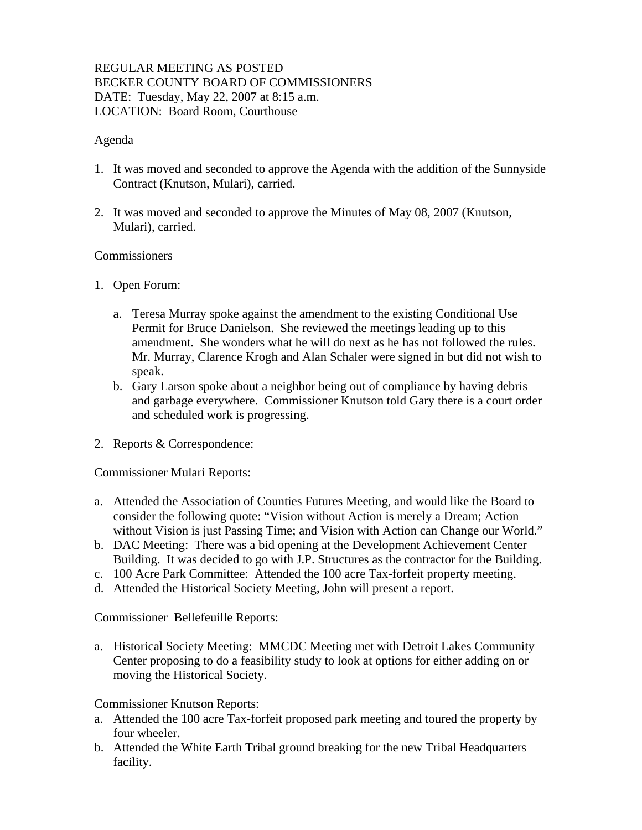## REGULAR MEETING AS POSTED BECKER COUNTY BOARD OF COMMISSIONERS DATE: Tuesday, May 22, 2007 at 8:15 a.m. LOCATION: Board Room, Courthouse

### Agenda

- 1. It was moved and seconded to approve the Agenda with the addition of the Sunnyside Contract (Knutson, Mulari), carried.
- 2. It was moved and seconded to approve the Minutes of May 08, 2007 (Knutson, Mulari), carried.

#### **Commissioners**

- 1. Open Forum:
	- a. Teresa Murray spoke against the amendment to the existing Conditional Use Permit for Bruce Danielson. She reviewed the meetings leading up to this amendment. She wonders what he will do next as he has not followed the rules. Mr. Murray, Clarence Krogh and Alan Schaler were signed in but did not wish to speak.
	- b. Gary Larson spoke about a neighbor being out of compliance by having debris and garbage everywhere. Commissioner Knutson told Gary there is a court order and scheduled work is progressing.
- 2. Reports & Correspondence:

Commissioner Mulari Reports:

- a. Attended the Association of Counties Futures Meeting, and would like the Board to consider the following quote: "Vision without Action is merely a Dream; Action without Vision is just Passing Time; and Vision with Action can Change our World."
- b. DAC Meeting: There was a bid opening at the Development Achievement Center Building. It was decided to go with J.P. Structures as the contractor for the Building.
- c. 100 Acre Park Committee: Attended the 100 acre Tax-forfeit property meeting.
- d. Attended the Historical Society Meeting, John will present a report.

Commissioner Bellefeuille Reports:

a. Historical Society Meeting: MMCDC Meeting met with Detroit Lakes Community Center proposing to do a feasibility study to look at options for either adding on or moving the Historical Society.

Commissioner Knutson Reports:

- a. Attended the 100 acre Tax-forfeit proposed park meeting and toured the property by four wheeler.
- b. Attended the White Earth Tribal ground breaking for the new Tribal Headquarters facility.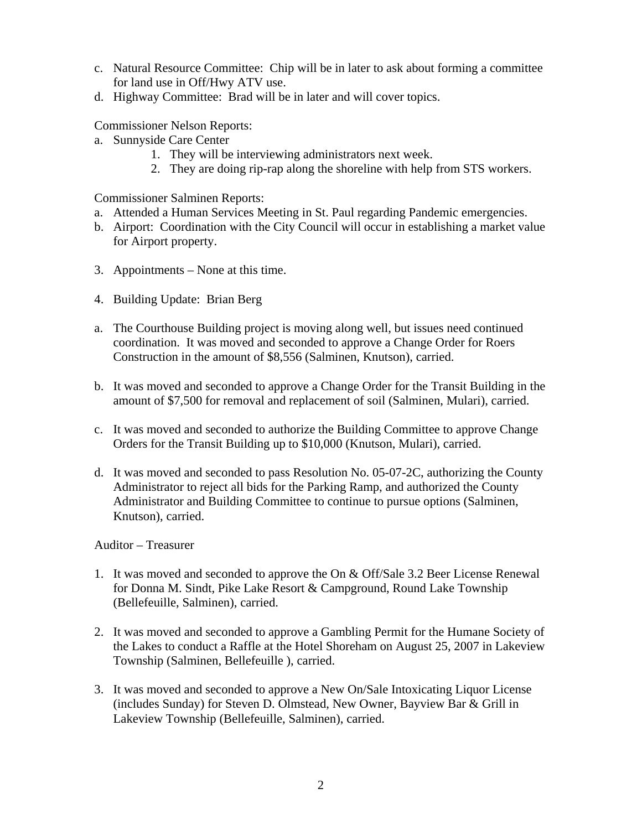- c. Natural Resource Committee: Chip will be in later to ask about forming a committee for land use in Off/Hwy ATV use.
- d. Highway Committee: Brad will be in later and will cover topics.

Commissioner Nelson Reports:

- a. Sunnyside Care Center
	- 1. They will be interviewing administrators next week.
	- 2. They are doing rip-rap along the shoreline with help from STS workers.

Commissioner Salminen Reports:

- a. Attended a Human Services Meeting in St. Paul regarding Pandemic emergencies.
- b. Airport: Coordination with the City Council will occur in establishing a market value for Airport property.
- 3. Appointments None at this time.
- 4. Building Update: Brian Berg
- a. The Courthouse Building project is moving along well, but issues need continued coordination. It was moved and seconded to approve a Change Order for Roers Construction in the amount of \$8,556 (Salminen, Knutson), carried.
- b. It was moved and seconded to approve a Change Order for the Transit Building in the amount of \$7,500 for removal and replacement of soil (Salminen, Mulari), carried.
- c. It was moved and seconded to authorize the Building Committee to approve Change Orders for the Transit Building up to \$10,000 (Knutson, Mulari), carried.
- d. It was moved and seconded to pass Resolution No. 05-07-2C, authorizing the County Administrator to reject all bids for the Parking Ramp, and authorized the County Administrator and Building Committee to continue to pursue options (Salminen, Knutson), carried.

### Auditor – Treasurer

- 1. It was moved and seconded to approve the On & Off/Sale 3.2 Beer License Renewal for Donna M. Sindt, Pike Lake Resort & Campground, Round Lake Township (Bellefeuille, Salminen), carried.
- 2. It was moved and seconded to approve a Gambling Permit for the Humane Society of the Lakes to conduct a Raffle at the Hotel Shoreham on August 25, 2007 in Lakeview Township (Salminen, Bellefeuille ), carried.
- 3. It was moved and seconded to approve a New On/Sale Intoxicating Liquor License (includes Sunday) for Steven D. Olmstead, New Owner, Bayview Bar & Grill in Lakeview Township (Bellefeuille, Salminen), carried.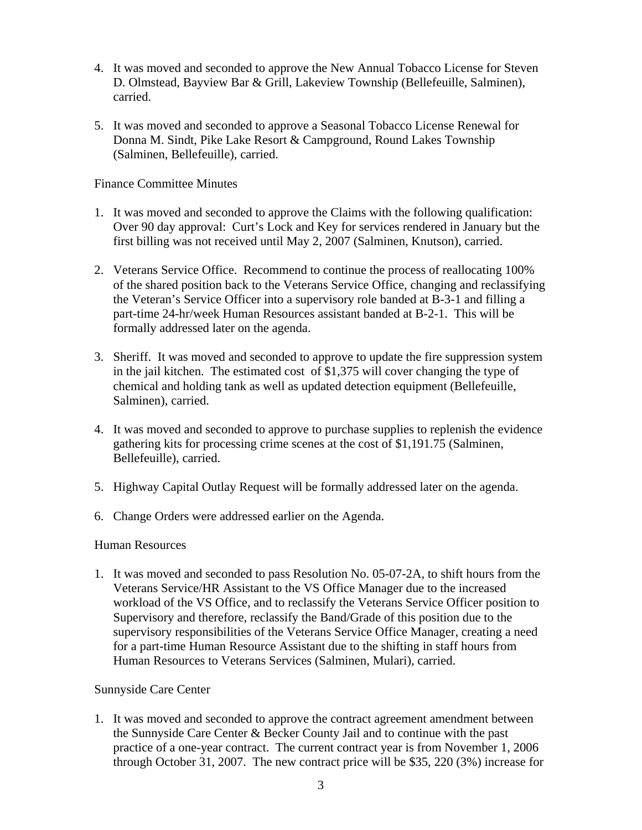- 4. It was moved and seconded to approve the New Annual Tobacco License for Steven D. Olmstead, Bayview Bar & Grill, Lakeview Township (Bellefeuille, Salminen), carried.
- 5. It was moved and seconded to approve a Seasonal Tobacco License Renewal for Donna M. Sindt, Pike Lake Resort & Campground, Round Lakes Township (Salminen, Bellefeuille), carried.

Finance Committee Minutes

- 1. It was moved and seconded to approve the Claims with the following qualification: Over 90 day approval: Curt's Lock and Key for services rendered in January but the first billing was not received until May 2, 2007 (Salminen, Knutson), carried.
- 2. Veterans Service Office. Recommend to continue the process of reallocating 100% of the shared position back to the Veterans Service Office, changing and reclassifying the Veteran's Service Officer into a supervisory role banded at B-3-1 and filling a part-time 24-hr/week Human Resources assistant banded at B-2-1. This will be formally addressed later on the agenda.
- 3. Sheriff. It was moved and seconded to approve to update the fire suppression system in the jail kitchen. The estimated cost of \$1,375 will cover changing the type of chemical and holding tank as well as updated detection equipment (Bellefeuille, Salminen), carried.
- 4. It was moved and seconded to approve to purchase supplies to replenish the evidence gathering kits for processing crime scenes at the cost of \$1,191.75 (Salminen, Bellefeuille), carried.
- 5. Highway Capital Outlay Request will be formally addressed later on the agenda.
- 6. Change Orders were addressed earlier on the Agenda.

### Human Resources

1. It was moved and seconded to pass Resolution No. 05-07-2A, to shift hours from the Veterans Service/HR Assistant to the VS Office Manager due to the increased workload of the VS Office, and to reclassify the Veterans Service Officer position to Supervisory and therefore, reclassify the Band/Grade of this position due to the supervisory responsibilities of the Veterans Service Office Manager, creating a need for a part-time Human Resource Assistant due to the shifting in staff hours from Human Resources to Veterans Services (Salminen, Mulari), carried.

### Sunnyside Care Center

1. It was moved and seconded to approve the contract agreement amendment between the Sunnyside Care Center & Becker County Jail and to continue with the past practice of a one-year contract. The current contract year is from November 1, 2006 through October 31, 2007. The new contract price will be \$35, 220 (3%) increase for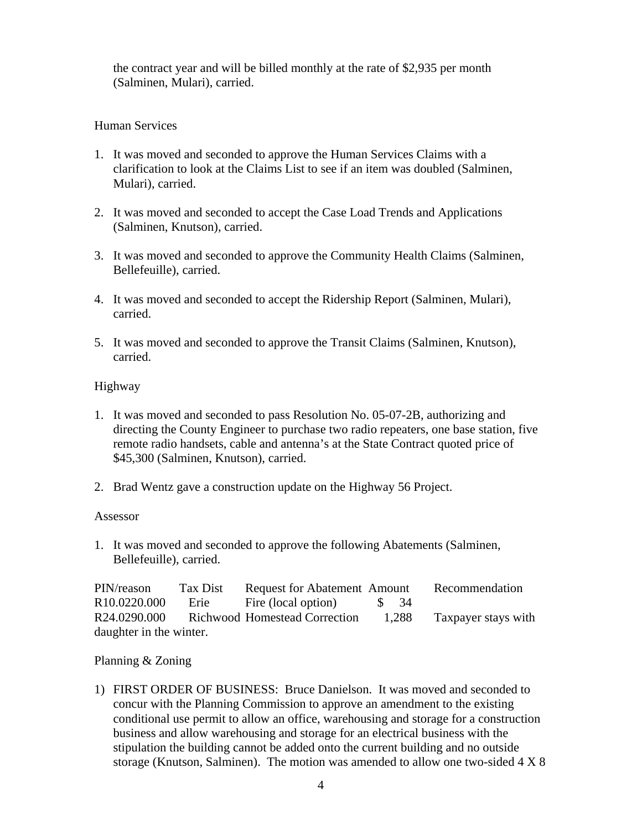the contract year and will be billed monthly at the rate of \$2,935 per month (Salminen, Mulari), carried.

### Human Services

- 1. It was moved and seconded to approve the Human Services Claims with a clarification to look at the Claims List to see if an item was doubled (Salminen, Mulari), carried.
- 2. It was moved and seconded to accept the Case Load Trends and Applications (Salminen, Knutson), carried.
- 3. It was moved and seconded to approve the Community Health Claims (Salminen, Bellefeuille), carried.
- 4. It was moved and seconded to accept the Ridership Report (Salminen, Mulari), carried.
- 5. It was moved and seconded to approve the Transit Claims (Salminen, Knutson), carried.

## Highway

- 1. It was moved and seconded to pass Resolution No. 05-07-2B, authorizing and directing the County Engineer to purchase two radio repeaters, one base station, five remote radio handsets, cable and antenna's at the State Contract quoted price of \$45,300 (Salminen, Knutson), carried.
- 2. Brad Wentz gave a construction update on the Highway 56 Project.

### Assessor

1. It was moved and seconded to approve the following Abatements (Salminen, Bellefeuille), carried.

| PIN/reason               | Tax Dist | <b>Request for Abatement Amount</b> |       | Recommendation      |
|--------------------------|----------|-------------------------------------|-------|---------------------|
| R <sub>10.0220.000</sub> | Erie     | Fire (local option)                 | S 34  |                     |
| R24.0290.000             |          | Richwood Homestead Correction       | 1,288 | Taxpayer stays with |
| daughter in the winter.  |          |                                     |       |                     |

### Planning & Zoning

1) FIRST ORDER OF BUSINESS: Bruce Danielson. It was moved and seconded to concur with the Planning Commission to approve an amendment to the existing conditional use permit to allow an office, warehousing and storage for a construction business and allow warehousing and storage for an electrical business with the stipulation the building cannot be added onto the current building and no outside storage (Knutson, Salminen). The motion was amended to allow one two-sided 4 X 8